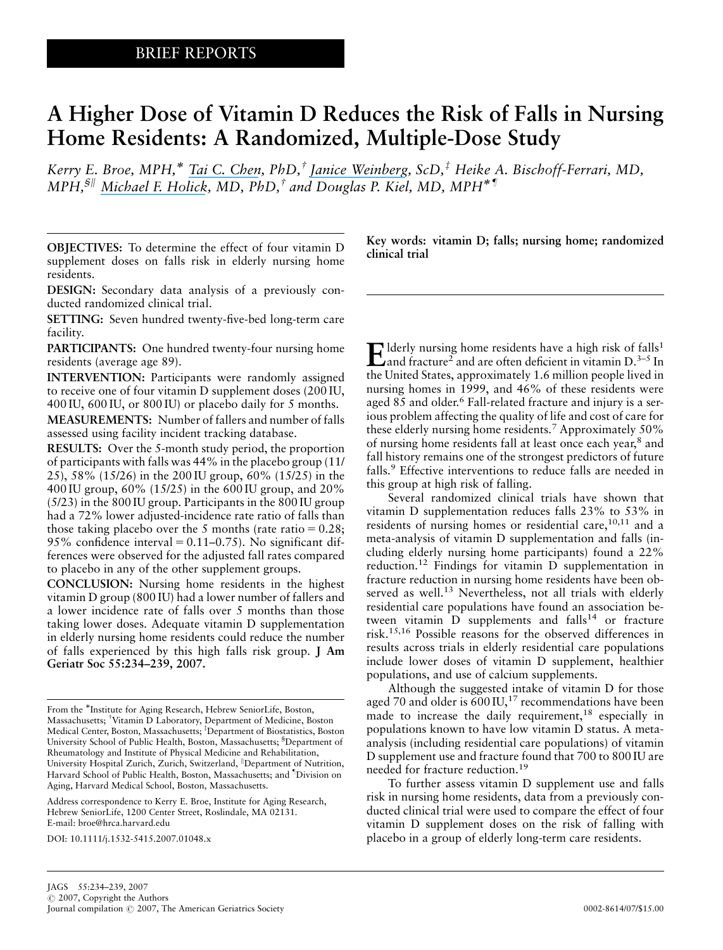# A Higher Dose of Vitamin D Reduces the Risk of Falls in Nursing Home Residents: A Randomized, Multiple-Dose Study

Kerry E. Broe, MPH,<sup>\*</sup> [Tai C. Chen](https://www.researchgate.net/profile/Tai_Chen?el=1_x_100&enrichId=rgreq-86f122eba8462cf7df1381cd01d9cd03-XXX&enrichSource=Y292ZXJQYWdlOzY1MDIxNDc7QVM6MTAxNzc2MzcyMDExMDIxQDE0MDEyNzY3ODY5MzY=), PhD,<sup>†</sup> [Janice Weinberg](https://www.researchgate.net/profile/Janice_Weinberg?el=1_x_100&enrichId=rgreq-86f122eba8462cf7df1381cd01d9cd03-XXX&enrichSource=Y292ZXJQYWdlOzY1MDIxNDc7QVM6MTAxNzc2MzcyMDExMDIxQDE0MDEyNzY3ODY5MzY=), ScD,<sup>‡</sup> Heike A. Bischoff-Ferrari, MD, MPH,<sup>§||</sup> [Michael F. Holick](https://www.researchgate.net/profile/Michael_Holick?el=1_x_100&enrichId=rgreq-86f122eba8462cf7df1381cd01d9cd03-XXX&enrichSource=Y292ZXJQYWdlOzY1MDIxNDc7QVM6MTAxNzc2MzcyMDExMDIxQDE0MDEyNzY3ODY5MzY=), MD, PhD,<sup>†</sup> and Douglas P. Kiel, MD, MPH<sup>\*</sup>

OBJECTIVES: To determine the effect of four vitamin D supplement doses on falls risk in elderly nursing home residents.

DESIGN: Secondary data analysis of a previously conducted randomized clinical trial.

SETTING: Seven hundred twenty-five-bed long-term care facility.

PARTICIPANTS: One hundred twenty-four nursing home residents (average age 89).

INTERVENTION: Participants were randomly assigned to receive one of four vitamin D supplement doses (200 IU, 400 IU, 600 IU, or 800 IU) or placebo daily for 5 months.

MEASUREMENTS: Number of fallers and number of falls assessed using facility incident tracking database.

RESULTS: Over the 5-month study period, the proportion of participants with falls was 44% in the placebo group (11/ 25), 58% (15/26) in the 200 IU group, 60% (15/25) in the 400 IU group, 60% (15/25) in the 600 IU group, and 20% (5/23) in the 800 IU group. Participants in the 800 IU group had a 72% lower adjusted-incidence rate ratio of falls than those taking placebo over the 5 months (rate ratio  $= 0.28$ ; 95% confidence interval =  $0.11-0.75$ ). No significant differences were observed for the adjusted fall rates compared to placebo in any of the other supplement groups.

CONCLUSION: Nursing home residents in the highest vitamin D group (800 IU) had a lower number of fallers and a lower incidence rate of falls over 5 months than those taking lower doses. Adequate vitamin D supplementation in elderly nursing home residents could reduce the number of falls experienced by this high falls risk group. J Am Geriatr Soc 55:234–239, 2007.

Address correspondence to Kerry E. Broe, Institute for Aging Research, Hebrew SeniorLife, 1200 Center Street, Roslindale, MA 02131. E-mail: broe@hrca.harvard.edu

DOI: 10.1111/j.1532-5415.2007.01048.x

Key words: vitamin D; falls; nursing home; randomized clinical trial

Elderly nursing home residents have a high risk of falls<sup>1</sup><br>and fracture<sup>2</sup> and are often deficient in vitamin D.<sup>3–5</sup> In the United States, approximately 1.6 million people lived in nursing homes in 1999, and 46% of these residents were aged 85 and older.<sup>6</sup> Fall-related fracture and injury is a serious problem affecting the quality of life and cost of care for these elderly nursing home residents.<sup>7</sup> Approximately 50% of nursing home residents fall at least once each year,<sup>8</sup> and fall history remains one of the strongest predictors of future falls.<sup>9</sup> Effective interventions to reduce falls are needed in this group at high risk of falling.

Several randomized clinical trials have shown that vitamin D supplementation reduces falls 23% to 53% in residents of nursing homes or residential care,<sup>10,11</sup> and a meta-analysis of vitamin D supplementation and falls (including elderly nursing home participants) found a 22% reduction.12 Findings for vitamin D supplementation in fracture reduction in nursing home residents have been observed as well.<sup>13</sup> Nevertheless, not all trials with elderly residential care populations have found an association between vitamin  $\overrightarrow{D}$  supplements and falls<sup>14</sup> or fracture risk.15,16 Possible reasons for the observed differences in results across trials in elderly residential care populations include lower doses of vitamin D supplement, healthier populations, and use of calcium supplements.

Although the suggested intake of vitamin D for those aged 70 and older is  $600 \text{ IU},^{17}$  recommendations have been made to increase the daily requirement,<sup>18</sup> especially in populations known to have low vitamin D status. A metaanalysis (including residential care populations) of vitamin D supplement use and fracture found that 700 to 800 IU are needed for fracture reduction.19

To further assess vitamin D supplement use and falls risk in nursing home residents, data from a previously conducted clinical trial were used to compare the effect of four vitamin D supplement doses on the risk of falling with placebo in a group of elderly long-term care residents.

From the \*Institute for Aging Research, Hebrew SeniorLife, Boston, Massachusetts; †Vitamin D Laboratory, Department of Medicine, Boston Medical Center, Boston, Massachusetts; <sup>‡</sup>Department of Biostatistics, Boston University School of Public Health, Boston, Massachusetts; <sup>§</sup>Department of Rheumatology and Institute of Physical Medicine and Rehabilitation, University Hospital Zurich, Zurich, Switzerland, <sup>||</sup>Department of Nutrition, Harvard School of Public Health, Boston, Massachusetts; and "Division on Aging, Harvard Medical School, Boston, Massachusetts.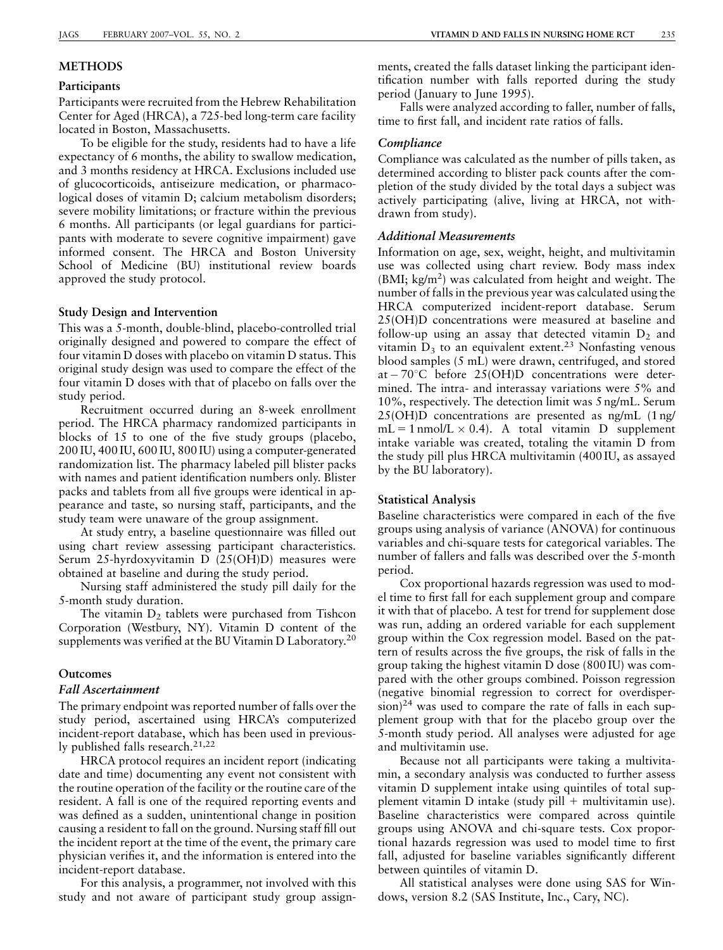## **METHODS**

#### Participants

Participants were recruited from the Hebrew Rehabilitation Center for Aged (HRCA), a 725-bed long-term care facility located in Boston, Massachusetts.

To be eligible for the study, residents had to have a life expectancy of 6 months, the ability to swallow medication, and 3 months residency at HRCA. Exclusions included use of glucocorticoids, antiseizure medication, or pharmacological doses of vitamin D; calcium metabolism disorders; severe mobility limitations; or fracture within the previous 6 months. All participants (or legal guardians for participants with moderate to severe cognitive impairment) gave informed consent. The HRCA and Boston University School of Medicine (BU) institutional review boards approved the study protocol.

#### Study Design and Intervention

This was a 5-month, double-blind, placebo-controlled trial originally designed and powered to compare the effect of four vitamin D doses with placebo on vitamin D status. This original study design was used to compare the effect of the four vitamin D doses with that of placebo on falls over the study period.

Recruitment occurred during an 8-week enrollment period. The HRCA pharmacy randomized participants in blocks of 15 to one of the five study groups (placebo, 200 IU, 400 IU, 600 IU, 800 IU) using a computer-generated randomization list. The pharmacy labeled pill blister packs with names and patient identification numbers only. Blister packs and tablets from all five groups were identical in appearance and taste, so nursing staff, participants, and the study team were unaware of the group assignment.

At study entry, a baseline questionnaire was filled out using chart review assessing participant characteristics. Serum 25-hyrdoxyvitamin D (25(OH)D) measures were obtained at baseline and during the study period.

Nursing staff administered the study pill daily for the 5-month study duration.

The vitamin  $D_2$  tablets were purchased from Tishcon Corporation (Westbury, NY). Vitamin D content of the supplements was verified at the BU Vitamin D Laboratory.<sup>20</sup>

### Outcomes

# Fall Ascertainment

The primary endpoint was reported number of falls over the study period, ascertained using HRCA's computerized incident-report database, which has been used in previously published falls research.<sup>21,22</sup>

HRCA protocol requires an incident report (indicating date and time) documenting any event not consistent with the routine operation of the facility or the routine care of the resident. A fall is one of the required reporting events and was defined as a sudden, unintentional change in position causing a resident to fall on the ground. Nursing staff fill out the incident report at the time of the event, the primary care physician verifies it, and the information is entered into the incident-report database.

For this analysis, a programmer, not involved with this study and not aware of participant study group assignments, created the falls dataset linking the participant identification number with falls reported during the study period (January to June 1995).

Falls were analyzed according to faller, number of falls, time to first fall, and incident rate ratios of falls.

#### Compliance

Compliance was calculated as the number of pills taken, as determined according to blister pack counts after the completion of the study divided by the total days a subject was actively participating (alive, living at HRCA, not withdrawn from study).

## Additional Measurements

Information on age, sex, weight, height, and multivitamin use was collected using chart review. Body mass index (BMI; kg/m2) was calculated from height and weight. The number of falls in the previous year was calculated using the HRCA computerized incident-report database. Serum 25(OH)D concentrations were measured at baseline and follow-up using an assay that detected vitamin  $D_2$  and vitamin  $D_3$  to an equivalent extent.<sup>23</sup> Nonfasting venous blood samples (5 mL) were drawn, centrifuged, and stored at  $-70^{\circ}$ C before 25(OH)D concentrations were determined. The intra- and interassay variations were 5% and 10%, respectively. The detection limit was 5 ng/mL. Serum 25(OH)D concentrations are presented as ng/mL (1 ng/  $mL = 1$  nmol/L  $\times$  0.4). A total vitamin D supplement intake variable was created, totaling the vitamin D from the study pill plus HRCA multivitamin (400 IU, as assayed by the BU laboratory).

#### Statistical Analysis

Baseline characteristics were compared in each of the five groups using analysis of variance (ANOVA) for continuous variables and chi-square tests for categorical variables. The number of fallers and falls was described over the 5-month period.

Cox proportional hazards regression was used to model time to first fall for each supplement group and compare it with that of placebo. A test for trend for supplement dose was run, adding an ordered variable for each supplement group within the Cox regression model. Based on the pattern of results across the five groups, the risk of falls in the group taking the highest vitamin D dose (800 IU) was compared with the other groups combined. Poisson regression (negative binomial regression to correct for overdisper- $\sin^{24}$  was used to compare the rate of falls in each supplement group with that for the placebo group over the 5-month study period. All analyses were adjusted for age and multivitamin use.

Because not all participants were taking a multivitamin, a secondary analysis was conducted to further assess vitamin D supplement intake using quintiles of total supplement vitamin D intake (study pill  $+$  multivitamin use). Baseline characteristics were compared across quintile groups using ANOVA and chi-square tests. Cox proportional hazards regression was used to model time to first fall, adjusted for baseline variables significantly different between quintiles of vitamin D.

All statistical analyses were done using SAS for Windows, version 8.2 (SAS Institute, Inc., Cary, NC).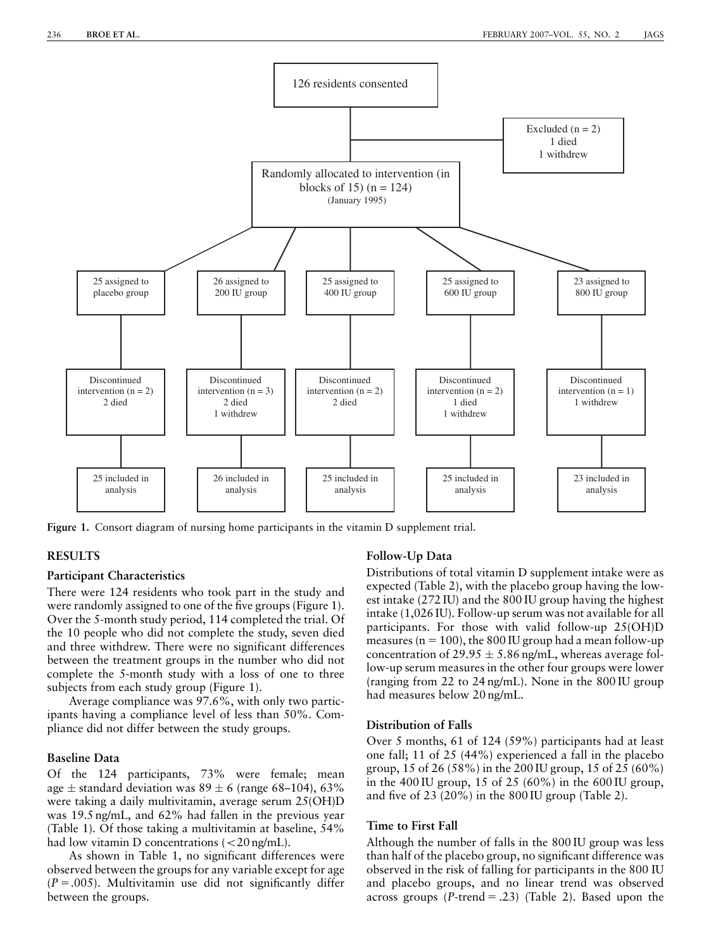

Figure 1. Consort diagram of nursing home participants in the vitamin D supplement trial.

# RESULTS

#### Participant Characteristics

There were 124 residents who took part in the study and were randomly assigned to one of the five groups (Figure 1). Over the 5-month study period, 114 completed the trial. Of the 10 people who did not complete the study, seven died and three withdrew. There were no significant differences between the treatment groups in the number who did not complete the 5-month study with a loss of one to three subjects from each study group (Figure 1).

Average compliance was 97.6%, with only two participants having a compliance level of less than 50%. Compliance did not differ between the study groups.

## Baseline Data

Of the 124 participants, 73% were female; mean age  $\pm$  standard deviation was 89  $\pm$  6 (range 68–104), 63% were taking a daily multivitamin, average serum 25(OH)D was 19.5 ng/mL, and 62% had fallen in the previous year (Table 1). Of those taking a multivitamin at baseline, 54% had low vitamin D concentrations  $\langle < 20$  ng/mL).

As shown in Table 1, no significant differences were observed between the groups for any variable except for age  $(P = .005)$ . Multivitamin use did not significantly differ between the groups.

#### Follow-Up Data

Distributions of total vitamin D supplement intake were as expected (Table 2), with the placebo group having the lowest intake (272 IU) and the 800 IU group having the highest intake (1,026 IU). Follow-up serum was not available for all participants. For those with valid follow-up 25(OH)D measures ( $n = 100$ ), the 800 IU group had a mean follow-up concentration of 29.95  $\pm$  5.86 ng/mL, whereas average follow-up serum measures in the other four groups were lower (ranging from 22 to 24 ng/mL). None in the 800 IU group had measures below 20 ng/mL.

## Distribution of Falls

Over 5 months, 61 of 124 (59%) participants had at least one fall; 11 of 25 (44%) experienced a fall in the placebo group, 15 of 26 (58%) in the 200 IU group, 15 of 25 (60%) in the 400 IU group, 15 of 25 (60%) in the 600 IU group, and five of 23 (20%) in the 800 IU group (Table 2).

#### Time to First Fall

Although the number of falls in the 800 IU group was less than half of the placebo group, no significant difference was observed in the risk of falling for participants in the 800 IU and placebo groups, and no linear trend was observed across groups  $(P\text{-trend} = .23)$  (Table 2). Based upon the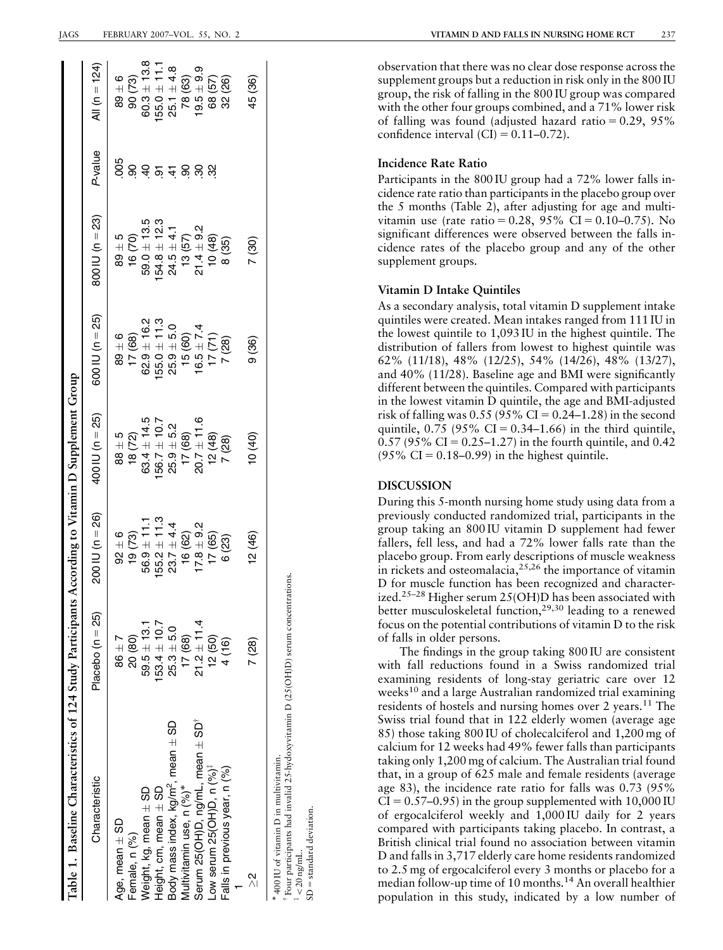| Table 1. Baseline Characteristics of 124 Study Participants |                  | According to Vitamin D Supplement Group |                 |                 |                            |                                       |                 |
|-------------------------------------------------------------|------------------|-----------------------------------------|-----------------|-----------------|----------------------------|---------------------------------------|-----------------|
| Characteristic                                              | Placebo (n = 25) | $200 \text{ I} \cup \text{ (n = 26)}$   | 400 IU (n = 25) | 600 IU (n = 25) | 800 IU (n = 23)            | P-value                               | All (n = 124)   |
| Age, mean $\pm$ SD                                          | $86 \pm 7$       | $92 \pm 6$                              | $88 \pm 5$      | $89 \pm 6$      | $89 \pm 5$                 | 005                                   | $89 \pm 6$      |
| Female, n (%)                                               | 20 (80)          | 19(73)                                  | 18 (72)         | 17(68)          | 16(70)                     |                                       | 90 (73)         |
| Neight, kg, mean $\pm$ SD                                   | $59.5 \pm 13.1$  | $56.9 \pm 11.1$                         | $63.4 \pm 14.5$ | $62.9 \pm 16.2$ | $59.0 + 13.5$              |                                       | $60.3 + 13.8$   |
| Height, cm, mean $\pm$ SD                                   | $153.4 \pm 10.7$ | $55.2 \pm 11.3$                         | $56.7 \pm 10.7$ | $55.0 \pm 11.3$ | $54.8 \pm 12.3$            |                                       | $55.0 \pm 11.7$ |
| Body mass index, kg/m <sup>2</sup> , mean ± SD              | $25.3 + 5.0$     | $23.7 \pm 4.4$                          | $25.9 + 5.2$    | $25.9 + 5.0$    | $24.5 \pm 4.1$             |                                       | $25.1 \pm 4.8$  |
| Aultivitamin use, n (%)*                                    | 17(68)           | 16 (62)                                 | 17(68)          | 15(60)          |                            | 8 <del>3</del> 2 <del>2</del> 8 9 9 8 | 78 (63)         |
| Serum 25(OH)D, ng/mL, mean $\pm$ SD <sup>*</sup>            | $21.2 \pm 11.4$  | $17.8 \pm 9.2$                          | $20.7 \pm 11.6$ | $16.5 \pm 7.4$  | $13(57)$<br>21.4 $\pm$ 9.2 |                                       | $9.5 \pm 9.9$   |
| Low serum 25(OH)D, n (%) <sup>;</sup>                       | 12(50)           | 17(65)                                  | 12(48)          | 17(71)          | 10(48)                     |                                       | 68 (57)         |
| Falls in previous year, n (%)                               | 4 (16)           | 6(23)                                   | 7(28)           | 7(28)           | 8 (35)                     |                                       | 32 (26)         |
|                                                             |                  |                                         |                 |                 |                            |                                       |                 |
| $\frac{1}{\sqrt{2}}$                                        | 7 (28)           | 12 (46)                                 | (0.40)          | 9 (36)          | (30)                       |                                       | 45 (36)         |
| 400 IU of vitamin D in multivitamin.                        |                  |                                         |                 |                 |                            |                                       |                 |

 Four participants had invalid 25-hydoxyvitamin D (25(OH)D) serum concentrations. 

= standard deviation  $z_{20}$  ng/mL.  $<$ 20 ng/mL.

 $SD =$ standard deviation.

w

observation that there was no clear dose response across the supplement groups but a reduction in risk only in the 800 IU group, the risk of falling in the 800 IU group was compared with the other four groups combined, and a 71% lower risk of falling was found (adjusted hazard ratio  $= 0.29, 95\%$ confidence interval  $(CI) = 0.11-0.72$ .

# Incidence Rate Ratio

Participants in the 800 IU group had a 72% lower falls incidence rate ratio than participants in the placebo group over the 5 months (Table 2), after adjusting for age and multivitamin use (rate ratio = 0.28, 95% CI = 0.10–0.75). No significant differences were observed between the falls incidence rates of the placebo group and any of the other supplement groups.

## Vitamin D Intake Quintiles

As a secondary analysis, total vitamin D supplement intake quintiles were created. Mean intakes ranged from 111 IU in the lowest quintile to 1,093 IU in the highest quintile. The distribution of fallers from lowest to highest quintile was 62% (11/18), 48% (12/25), 54% (14/26), 48% (13/27), and 40% (11/28). Baseline age and BMI were significantly different between the quintiles. Compared with participants in the lowest vitamin D quintile, the age and BMI-adjusted risk of falling was  $0.55$  (95% CI = 0.24–1.28) in the second quintile,  $0.75$  (95% CI = 0.34–1.66) in the third quintile,  $0.57$  (95% CI = 0.25–1.27) in the fourth quintile, and 0.42  $(95\% \text{ CI} = 0.18 - 0.99)$  in the highest quintile.

# DISCUSSION

During this 5-month nursing home study using data from a previously conducted randomized trial, participants in the group taking an 800 IU vitamin D supplement had fewer fallers, fell less, and had a 72% lower falls rate than the placebo group. From early descriptions of muscle weakness in rickets and osteomalacia,  $25,26$  the importance of vitamin D for muscle function has been recognized and characterized.<sup>25–28</sup> Higher serum 25(OH)D has been associated with better musculoskeletal function,29,30 leading to a renewed focus on the potential contributions of vitamin D to the risk of falls in older persons.

The findings in the group taking 800 IU are consistent with fall reductions found in a Swiss randomized trial examining residents of long-stay geriatric care over 12 weeks<sup>10</sup> and a large Australian randomized trial examining residents of hostels and nursing homes over 2 years.<sup>11</sup> The Swiss trial found that in 122 elderly women (average age 85) those taking 800 IU of cholecalciferol and 1,200 mg of calcium for 12 weeks had 49% fewer falls than participants taking only 1,200 mg of calcium. The Australian trial found that, in a group of 625 male and female residents (average age 83), the incidence rate ratio for falls was 0.73 (95%  $CI = 0.57-0.95$ ) in the group supplemented with 10,000 IU of ergocalciferol weekly and 1,000 IU daily for 2 years compared with participants taking placebo. In contrast, a British clinical trial found no association between vitamin D and falls in 3,717 elderly care home residents randomized to 2.5 mg of ergocalciferol every 3 months or placebo for a median follow-up time of 10 months.<sup>14</sup> An overall healthier population in this study, indicated by a low number of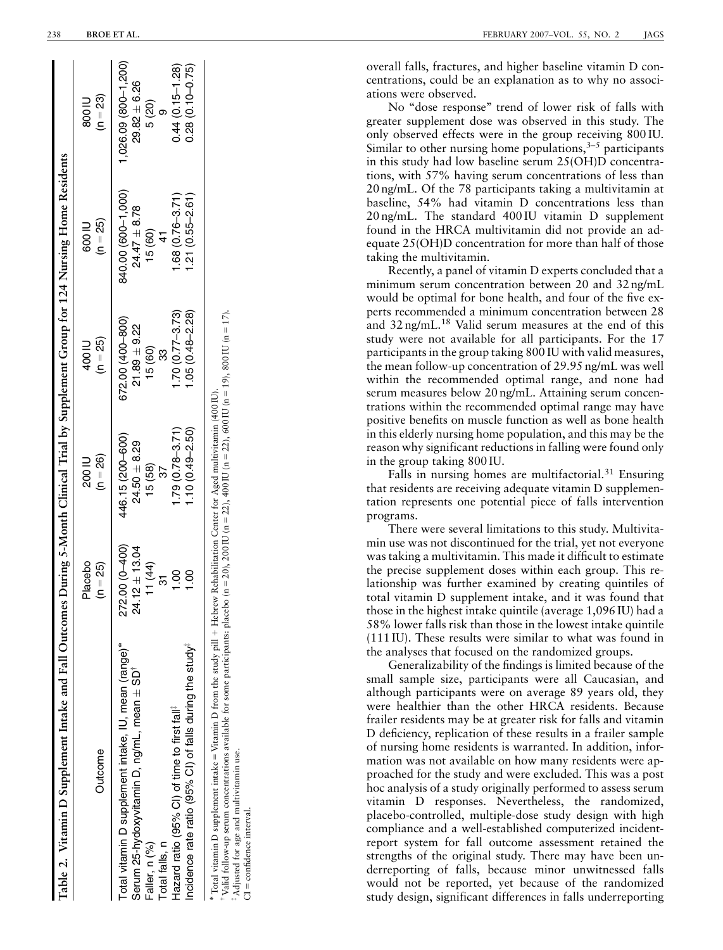| Table 2. Vitamin D Supplement Intake and Fall Outcomes During 5-Month Clinical Trial by Supplement Group for 124 Nursing Home Residents                                                                                                                                                                                                                                                |                                               |                                                      |                                                     |                                                  |                                                    |
|----------------------------------------------------------------------------------------------------------------------------------------------------------------------------------------------------------------------------------------------------------------------------------------------------------------------------------------------------------------------------------------|-----------------------------------------------|------------------------------------------------------|-----------------------------------------------------|--------------------------------------------------|----------------------------------------------------|
| Outcome                                                                                                                                                                                                                                                                                                                                                                                | Placebo<br>$(n = 25)$                         | $(n = 26)$<br>200 IU                                 | $(n = 25)$<br>400 IU                                | $(n = 25)$<br>600 IU                             | $(n = 23)$<br>11008                                |
| Total vitamin D supplement intake, IU, mean (range)*<br>Serum 25-hydoxyvitamin D, ng/mL, mean ± SD <sup>T</sup><br>Faller, n (%)<br>Total falls, n                                                                                                                                                                                                                                     | 272.00 (0-400)<br>$24.12 \pm 13.04$<br>11(44) | 446.15 (200-600)<br>$24.50 \pm 8.29$<br>15(58)<br>37 | 672.00 (400-800)<br>$21.89 + 9.22$<br>15(60)<br>က္က | 840.00 (600-1,000)<br>$24.47 \pm 8.78$<br>15(60) | 1,026.09 (800-1,200)<br>$29.82 \pm 6.26$<br>5 (20) |
| Incidence rate ratio (95% CI) of falls during the study <sup>#</sup><br>Hazard ratio (95% CI) of time to first fall <sup>#</sup>                                                                                                                                                                                                                                                       | 1.00<br>1.00                                  | $1.79(0.78 - 3.71)$<br>$1.10(0.49 - 2.50)$           | $1.70(0.77 - 3.73)$<br>$1.05(0.48 - 2.28)$          | $1.68(0.76 - 3.71)$<br>$1.21(0.55 - 2.61)$       | $0.44(0.15 - 1.28)$<br>$0.28(0.10 - 0.75)$         |
| "Valid follow-up serum concentrations available for some participants: placebo (n = 20), 200 IU (n = 22), 400 IU (n = 22), 600 IU (n = 19), 800 IU (n = 17).<br>Total vitamin D supplement intake = Vitamin D from the study pill + Hebrew Rehabilitation Center for Aged multivitamin (400 IU).<br><sup>#</sup> Adjusted for age and multivitamin use.<br>$CI = confidence$ interval. |                                               |                                                      |                                                     |                                                  |                                                    |

overall falls, fractures, and higher baseline vitamin D concentrations, could be an explanation as to why no associations were observed.

No ''dose response'' trend of lower risk of falls with greater supplement dose was observed in this study. The only observed effects were in the group receiving 800 IU. Similar to other nursing home populations,  $3-5$  participants in this study had low baseline serum 25(OH)D concentrations, with 57% having serum concentrations of less than 20 ng/mL. Of the 78 participants taking a multivitamin at baseline, 54% had vitamin D concentrations less than 20 ng/mL. The standard 400 IU vitamin D supplement found in the HRCA multivitamin did not provide an adequate 25(OH)D concentration for more than half of those taking the multivitamin.

Recently, a panel of vitamin D experts concluded that a minimum serum concentration between 20 and 32 ng/mL would be optimal for bone health, and four of the five experts recommended a minimum concentration between 28 and 32 ng/mL.<sup>18</sup> Valid serum measures at the end of this study were not available for all participants. For the 17 participants in the group taking 800 IU with valid measures, the mean follow-up concentration of 29.95 ng/mL was well within the recommended optimal range, and none had serum measures below 20 ng/mL. Attaining serum concentrations within the recommended optimal range may have positive benefits on muscle function as well as bone health in this elderly nursing home population, and this may be the reason why significant reductions in falling were found only in the group taking 800 IU.

Falls in nursing homes are multifactorial.<sup>31</sup> Ensuring that residents are receiving adequate vitamin D supplementation represents one potential piece of falls intervention programs.

There were several limitations to this study. Multivitamin use was not discontinued for the trial, yet not everyone was taking a multivitamin. This made it difficult to estimate the precise supplement doses within each group. This relationship was further examined by creating quintiles of total vitamin D supplement intake, and it was found that those in the highest intake quintile (average 1,096 IU) had a 58% lower falls risk than those in the lowest intake quintile (111 IU). These results were similar to what was found in the analyses that focused on the randomized groups.

Generalizability of the findings is limited because of the small sample size, participants were all Caucasian, and although participants were on average 89 years old, they were healthier than the other HRCA residents. Because frailer residents may be at greater risk for falls and vitamin D deficiency, replication of these results in a frailer sample of nursing home residents is warranted. In addition, information was not available on how many residents were approached for the study and were excluded. This was a post hoc analysis of a study originally performed to assess serum vitamin D responses. Nevertheless, the randomized, placebo-controlled, multiple-dose study design with high compliance and a well-established computerized incidentreport system for fall outcome assessment retained the strengths of the original study. There may have been underreporting of falls, because minor unwitnessed falls would not be reported, yet because of the randomized study design, significant differences in falls underreporting